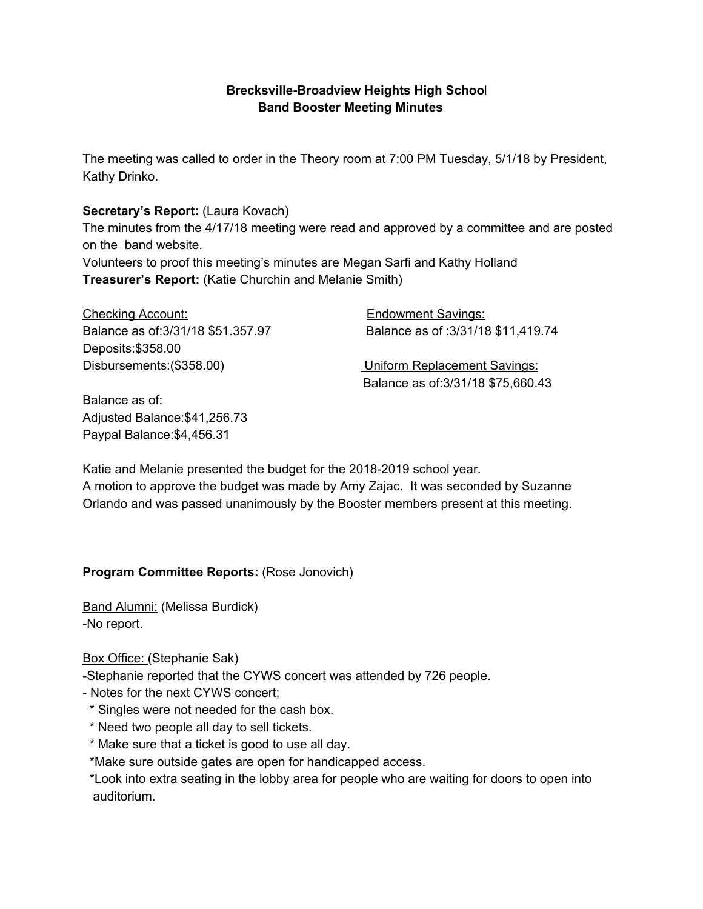# **Brecksville-Broadview Heights High Schoo**l **Band Booster Meeting Minutes**

The meeting was called to order in the Theory room at 7:00 PM Tuesday, 5/1/18 by President, Kathy Drinko.

## **Secretary's Report:** (Laura Kovach)

The minutes from the 4/17/18 meeting were read and approved by a committee and are posted on the band website.

Volunteers to proof this meeting's minutes are Megan Sarfi and Kathy Holland **Treasurer's Report:** (Katie Churchin and Melanie Smith)

| <b>Checking Account:</b>           | <b>Endowment Savings:</b>           |
|------------------------------------|-------------------------------------|
| Balance as of: 3/31/18 \$51.357.97 | Balance as of: 3/31/18 \$11,419.74  |
| Deposits: \$358.00                 |                                     |
| Disbursements: (\$358.00)          | <b>Uniform Replacement Savings:</b> |
|                                    | Balance as of: 3/31/18 \$75,660.43  |

Balance as of: Adjusted Balance:\$41,256.73 Paypal Balance:\$4,456.31

Katie and Melanie presented the budget for the 2018-2019 school year.

A motion to approve the budget was made by Amy Zajac. It was seconded by Suzanne Orlando and was passed unanimously by the Booster members present at this meeting.

## **Program Committee Reports:** (Rose Jonovich)

Band Alumni: (Melissa Burdick) -No report.

Box Office: (Stephanie Sak)

-Stephanie reported that the CYWS concert was attended by 726 people.

- Notes for the next CYWS concert;

- \* Singles were not needed for the cash box.
- \* Need two people all day to sell tickets.
- \* Make sure that a ticket is good to use all day.

\*Make sure outside gates are open for handicapped access.

\*Look into extra seating in the lobby area for people who are waiting for doors to open into auditorium.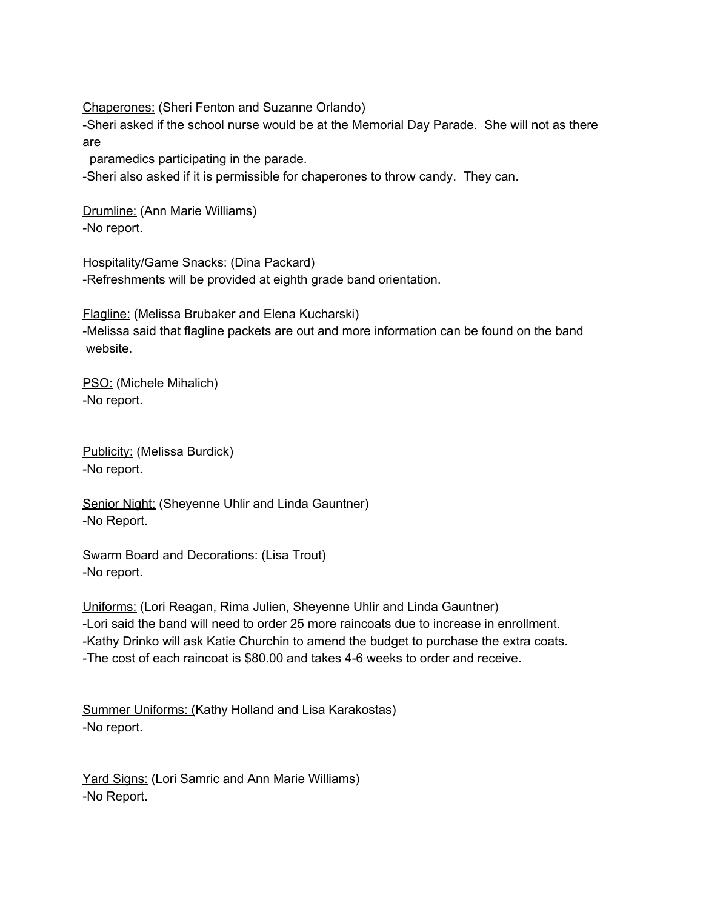Chaperones: (Sheri Fenton and Suzanne Orlando)

-Sheri asked if the school nurse would be at the Memorial Day Parade. She will not as there are

paramedics participating in the parade.

-Sheri also asked if it is permissible for chaperones to throw candy. They can.

Drumline: (Ann Marie Williams) -No report.

Hospitality/Game Snacks: (Dina Packard) -Refreshments will be provided at eighth grade band orientation.

Flagline: (Melissa Brubaker and Elena Kucharski) -Melissa said that flagline packets are out and more information can be found on the band website.

PSO: (Michele Mihalich) -No report.

Publicity: (Melissa Burdick) -No report.

Senior Night: (Sheyenne Uhlir and Linda Gauntner) -No Report.

Swarm Board and Decorations: (Lisa Trout) -No report.

Uniforms: (Lori Reagan, Rima Julien, Sheyenne Uhlir and Linda Gauntner) -Lori said the band will need to order 25 more raincoats due to increase in enrollment. -Kathy Drinko will ask Katie Churchin to amend the budget to purchase the extra coats. -The cost of each raincoat is \$80.00 and takes 4-6 weeks to order and receive.

Summer Uniforms: (Kathy Holland and Lisa Karakostas) -No report.

Yard Signs: (Lori Samric and Ann Marie Williams) -No Report.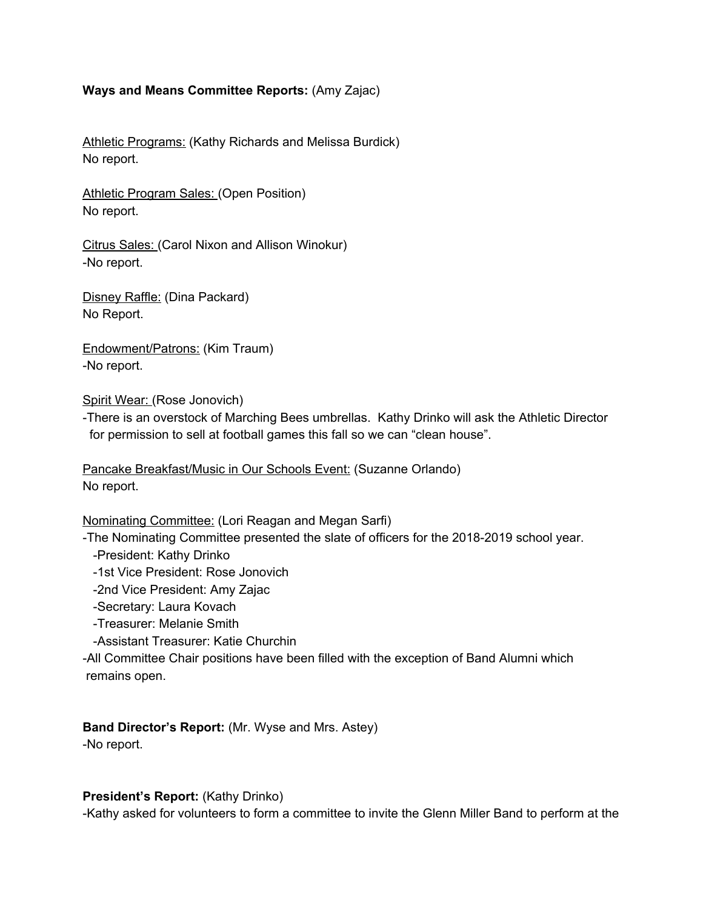#### **Ways and Means Committee Reports:** (Amy Zajac)

Athletic Programs: (Kathy Richards and Melissa Burdick) No report.

Athletic Program Sales: (Open Position) No report.

Citrus Sales: (Carol Nixon and Allison Winokur) -No report.

Disney Raffle: (Dina Packard) No Report.

Endowment/Patrons: (Kim Traum) -No report.

Spirit Wear: (Rose Jonovich)

-There is an overstock of Marching Bees umbrellas. Kathy Drinko will ask the Athletic Director for permission to sell at football games this fall so we can "clean house".

Pancake Breakfast/Music in Our Schools Event: (Suzanne Orlando) No report.

Nominating Committee: (Lori Reagan and Megan Sarfi)

-The Nominating Committee presented the slate of officers for the 2018-2019 school year.

-President: Kathy Drinko

-1st Vice President: Rose Jonovich

-2nd Vice President: Amy Zajac

-Secretary: Laura Kovach

-Treasurer: Melanie Smith

-Assistant Treasurer: Katie Churchin

-All Committee Chair positions have been filled with the exception of Band Alumni which remains open.

**Band Director's Report:** (Mr. Wyse and Mrs. Astey) -No report.

#### **President's Report:** (Kathy Drinko)

-Kathy asked for volunteers to form a committee to invite the Glenn Miller Band to perform at the